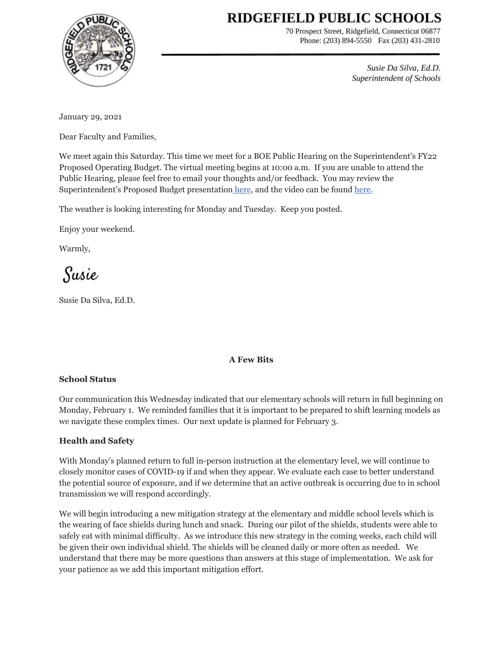# RIDGEFIELD PUBLIC SCHOOLS



70 Prospect Street, Ridgefield, Connecticut 06877 Phone: (203) 894-5550 Fax (203) 431-2810

> Susie Da Silva, Ed.D. Superintendent of Schools

January 29, 2021

Dear Faculty and Families,

We meet again this Saturday. This time we meet for a BOE Public Hearing on the Superintendent's FY22 Proposed Operating Budget. The virtual meeting begins at 10:00 a.m. If you are unable to attend the Public Hearing, please feel free to email your thoughts and/or feedback. You may review the Superintendent's Proposed Budget presentation [here](https://drive.google.com/file/d/1_roLn8--JJpLM2_PPoqh5E2ES9vdsJqn/view), and the video can be found [here.](https://www.youtube.com/watch?v=7ePbAxY-54M)

The weather is looking interesting for Monday and Tuesday. Keep you posted.

Enjoy your weekend.

Warmly,

Susie

Susie Da Silva, Ed.D.

#### **A Few Bits**

#### **School Status**

Our communication this Wednesday indicated that our elementary schools will return in full beginning on Monday, February 1. We reminded families that it is important to be prepared to shift learning models as we navigate these complex times. Our next update is planned for February 3.

# **Health and Safety**

With Monday's planned return to full in-person instruction at the elementary level, we will continue to closely monitor cases of COVID-19 if and when they appear. We evaluate each case to better understand the potential source of exposure, and if we determine that an active outbreak is occurring due to in school transmission we will respond accordingly.

We will begin introducing a new mitigation strategy at the elementary and middle school levels which is the wearing of face shields during lunch and snack. During our pilot of the shields, students were able to safely eat with minimal difficulty. As we introduce this new strategy in the coming weeks, each child will be given their own individual shield. The shields will be cleaned daily or more often as needed. We understand that there may be more questions than answers at this stage of implementation. We ask for your patience as we add this important mitigation effort.